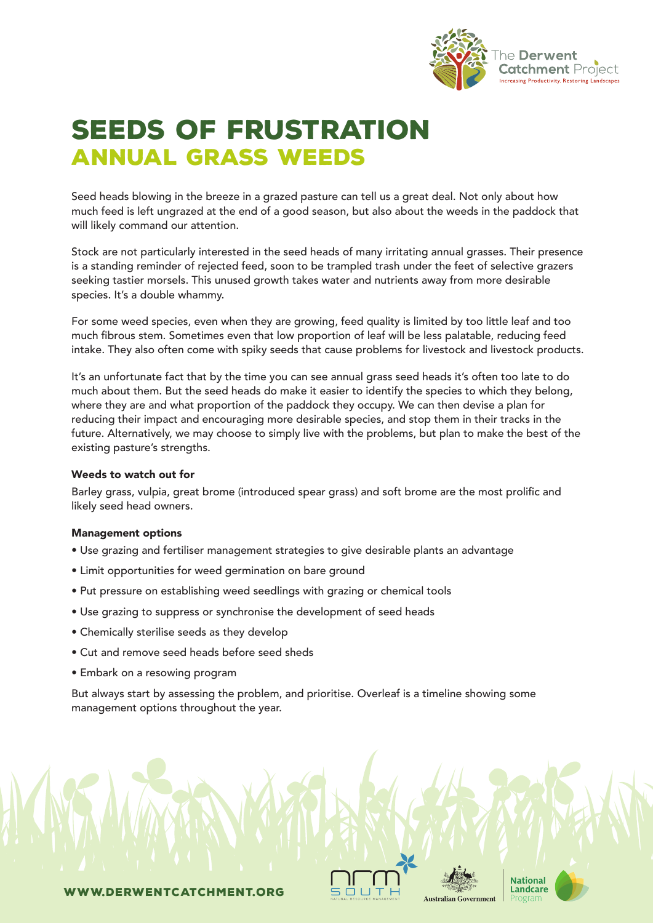

## SEEDS OF FRUSTRATION annual grass weeds

Seed heads blowing in the breeze in a grazed pasture can tell us a great deal. Not only about how much feed is left ungrazed at the end of a good season, but also about the weeds in the paddock that will likely command our attention.

Stock are not particularly interested in the seed heads of many irritating annual grasses. Their presence is a standing reminder of rejected feed, soon to be trampled trash under the feet of selective grazers seeking tastier morsels. This unused growth takes water and nutrients away from more desirable species. It's a double whammy.

For some weed species, even when they are growing, feed quality is limited by too little leaf and too much fibrous stem. Sometimes even that low proportion of leaf will be less palatable, reducing feed intake. They also often come with spiky seeds that cause problems for livestock and livestock products.

It's an unfortunate fact that by the time you can see annual grass seed heads it's often too late to do much about them. But the seed heads do make it easier to identify the species to which they belong, where they are and what proportion of the paddock they occupy. We can then devise a plan for reducing their impact and encouraging more desirable species, and stop them in their tracks in the future. Alternatively, we may choose to simply live with the problems, but plan to make the best of the existing pasture's strengths.

#### Weeds to watch out for

Barley grass, vulpia, great brome (introduced spear grass) and soft brome are the most prolific and likely seed head owners.

#### Management options

- Use grazing and fertiliser management strategies to give desirable plants an advantage
- Limit opportunities for weed germination on bare ground
- Put pressure on establishing weed seedlings with grazing or chemical tools
- Use grazing to suppress or synchronise the development of seed heads
- Chemically sterilise seeds as they develop
- Cut and remove seed heads before seed sheds
- Embark on a resowing program

But always start by assessing the problem, and prioritise. Overleaf is a timeline showing some management options throughout the year.